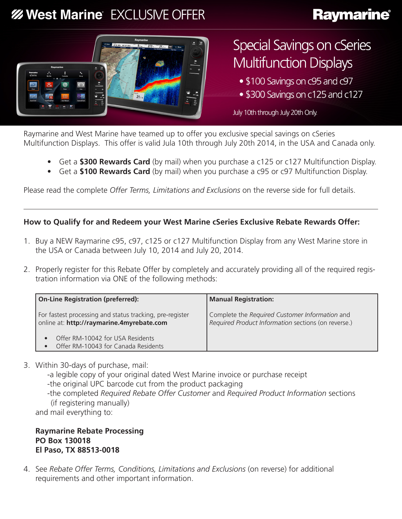# **% West Marine EXCLUSIVE OFFER**

# **Raymarine®**



# **Special Savings on cSeries Multifunction Displays**

- \$100 Savings on c95 and c97
- \$300 Savings on c125 and c127

July 10th through July 20th Only.

Raymarine and West Marine have teamed up to offer you exclusive special savings on cSeries Multifunction Displays. This offer is valid Jula 10th through July 20th 2014, in the USA and Canada only.

- Get a **\$300 Rewards Card** (by mail) when you purchase a c125 or c127 Multifunction Display.
- Get a **\$100 Rewards Card** (by mail) when you purchase a c95 or c97 Multifunction Display.

Please read the complete *Offer Terms, Limitations and Exclusions* on the reverse side for full details.

### **How to Qualify for and Redeem your West Marine cSeries Exclusive Rebate Rewards Offer:**

- 1. Buy a NEW Raymarine c95, c97, c125 or c127 Multifunction Display from any West Marine store in the USA or Canada between July 10, 2014 and July 20, 2014.
- 2. Properly register for this Rebate Offer by completely and accurately providing all of the required registration information via ONE of the following methods:

| <b>On-Line Registration (preferred):</b>                                                              | <b>Manual Registration:</b>                                                                           |  |
|-------------------------------------------------------------------------------------------------------|-------------------------------------------------------------------------------------------------------|--|
| For fastest processing and status tracking, pre-register<br>online at: http://raymarine.4myrebate.com | Complete the Required Customer Information and<br>Required Product Information sections (on reverse.) |  |
| Offer RM-10042 for USA Residents<br>Offer RM-10043 for Canada Residents                               |                                                                                                       |  |

3. Within 30-days of purchase, mail:

-a legible copy of your original dated West Marine invoice or purchase receipt

-the original UPC barcode cut from the product packaging

-the completed *Required Rebate Offer Customer* and *Required Product Information* sections (if registering manually)

and mail everything to:

**Raymarine Rebate Processing PO Box 130018 El Paso, TX 88513-0018**

4. See *Rebate Offer Terms, Conditions, Limitations and Exclusions* (on reverse) for additional requirements and other important information.